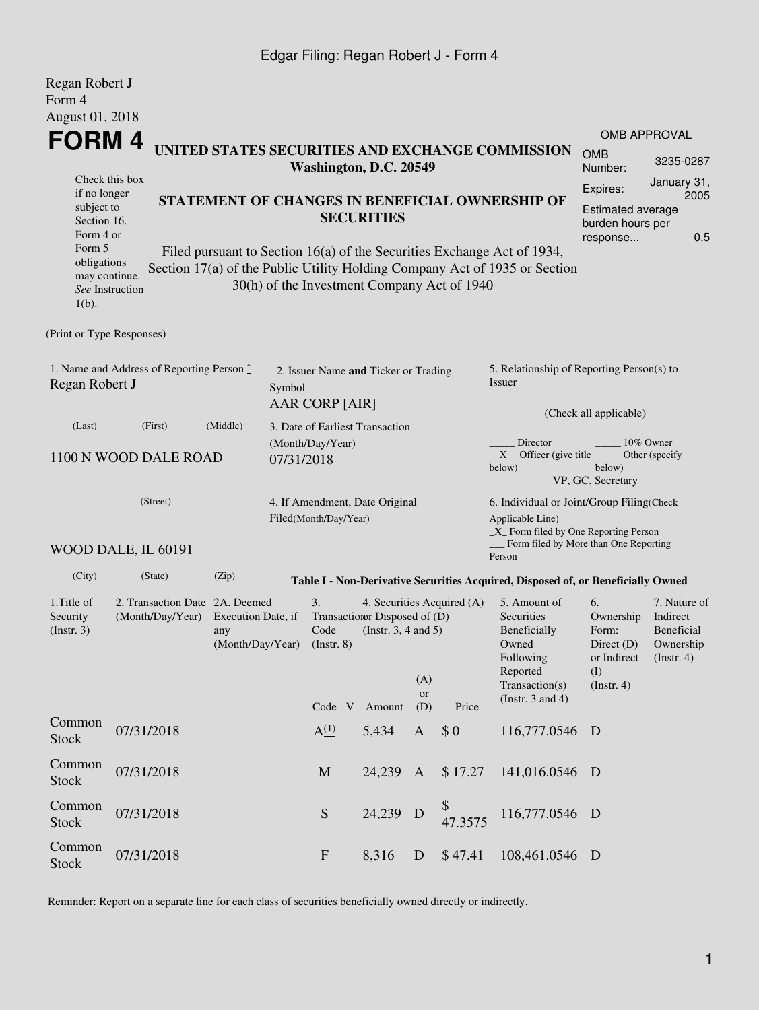## Edgar Filing: Regan Robert J - Form 4

| Regan Robert J<br>Form 4<br>August 01, 2018                 |                       |                                                                                 |                                                         |                                                 |                                                         |                                                                                                                                       |                                                                                                                                                    |                                                                                                                                                         |                                                                              |                                                                      |  |  |  |  |
|-------------------------------------------------------------|-----------------------|---------------------------------------------------------------------------------|---------------------------------------------------------|-------------------------------------------------|---------------------------------------------------------|---------------------------------------------------------------------------------------------------------------------------------------|----------------------------------------------------------------------------------------------------------------------------------------------------|---------------------------------------------------------------------------------------------------------------------------------------------------------|------------------------------------------------------------------------------|----------------------------------------------------------------------|--|--|--|--|
| FORM 4                                                      | <b>OMB APPROVAL</b>   |                                                                                 |                                                         |                                                 |                                                         |                                                                                                                                       |                                                                                                                                                    |                                                                                                                                                         |                                                                              |                                                                      |  |  |  |  |
|                                                             | <b>OMB</b><br>Number: | 3235-0287                                                                       |                                                         |                                                 |                                                         |                                                                                                                                       |                                                                                                                                                    |                                                                                                                                                         |                                                                              |                                                                      |  |  |  |  |
| if no longer                                                | Check this box        |                                                                                 |                                                         |                                                 |                                                         |                                                                                                                                       |                                                                                                                                                    |                                                                                                                                                         | Expires:                                                                     | January 31,<br>2005                                                  |  |  |  |  |
| subject to<br>Section 16.<br>Form 4 or                      |                       |                                                                                 |                                                         | STATEMENT OF CHANGES IN BENEFICIAL OWNERSHIP OF | Estimated average<br>burden hours per<br>response       | 0.5                                                                                                                                   |                                                                                                                                                    |                                                                                                                                                         |                                                                              |                                                                      |  |  |  |  |
| Form 5<br>obligations<br>may continue.<br>$1(b)$ .          | See Instruction       |                                                                                 |                                                         | 30(h) of the Investment Company Act of 1940     |                                                         |                                                                                                                                       |                                                                                                                                                    | Filed pursuant to Section $16(a)$ of the Securities Exchange Act of 1934,<br>Section 17(a) of the Public Utility Holding Company Act of 1935 or Section |                                                                              |                                                                      |  |  |  |  |
| (Print or Type Responses)                                   |                       |                                                                                 |                                                         |                                                 |                                                         |                                                                                                                                       |                                                                                                                                                    |                                                                                                                                                         |                                                                              |                                                                      |  |  |  |  |
| 1. Name and Address of Reporting Person *<br>Regan Robert J | Symbol                | 2. Issuer Name and Ticker or Trading<br>AAR CORP [AIR]                          |                                                         |                                                 |                                                         | 5. Relationship of Reporting Person(s) to<br>Issuer<br>(Check all applicable)                                                         |                                                                                                                                                    |                                                                                                                                                         |                                                                              |                                                                      |  |  |  |  |
| (Last)                                                      | (First)               | (Middle)                                                                        |                                                         | 3. Date of Earliest Transaction                 |                                                         |                                                                                                                                       |                                                                                                                                                    |                                                                                                                                                         |                                                                              |                                                                      |  |  |  |  |
| 1100 N WOOD DALE ROAD                                       | 07/31/2018            | (Month/Day/Year)                                                                |                                                         |                                                 |                                                         | Director<br>10% Owner<br>$X$ Officer (give title $\overline{\phantom{a}}$<br>Other (specify)<br>below)<br>below)<br>VP, GC, Secretary |                                                                                                                                                    |                                                                                                                                                         |                                                                              |                                                                      |  |  |  |  |
|                                                             | (Street)              |                                                                                 | 4. If Amendment, Date Original<br>Filed(Month/Day/Year) |                                                 |                                                         |                                                                                                                                       | 6. Individual or Joint/Group Filing(Check<br>Applicable Line)<br>$\_X$ Form filed by One Reporting Person<br>Form filed by More than One Reporting |                                                                                                                                                         |                                                                              |                                                                      |  |  |  |  |
|                                                             | WOOD DALE, IL 60191   |                                                                                 |                                                         |                                                 |                                                         |                                                                                                                                       |                                                                                                                                                    | Person                                                                                                                                                  |                                                                              |                                                                      |  |  |  |  |
| (City)                                                      | (State)               | (Zip)                                                                           |                                                         |                                                 |                                                         |                                                                                                                                       |                                                                                                                                                    | Table I - Non-Derivative Securities Acquired, Disposed of, or Beneficially Owned                                                                        |                                                                              |                                                                      |  |  |  |  |
| 1. Title of<br>Security<br>(Insert. 3)                      | (Month/Day/Year)      | 2. Transaction Date 2A. Deemed<br>Execution Date, if<br>any<br>(Month/Day/Year) |                                                         |                                                 | Transaction Disposed of (D)<br>(Instr. $3, 4$ and $5$ ) | (A)<br>or                                                                                                                             | 4. Securities Acquired (A)                                                                                                                         | 5. Amount of<br><b>Securities</b><br>Beneficially<br>Owned<br>Following<br>Reported<br>Transaction(s)                                                   | 6.<br>Ownership<br>Form:<br>Direct $(D)$<br>or Indirect<br>(I)<br>(Instr. 4) | 7. Nature of<br>Indirect<br>Beneficial<br>Ownership<br>$($ Instr. 4) |  |  |  |  |
|                                                             |                       |                                                                                 |                                                         | Code V                                          | Amount                                                  | (D)                                                                                                                                   | Price                                                                                                                                              | (Instr. $3$ and $4$ )                                                                                                                                   |                                                                              |                                                                      |  |  |  |  |
| Common<br>Stock                                             | 07/31/2018            |                                                                                 |                                                         | A <sup>(1)</sup>                                | 5,434                                                   | $\mathbf{A}$                                                                                                                          | \$0                                                                                                                                                | 116,777.0546 D                                                                                                                                          |                                                                              |                                                                      |  |  |  |  |
| Common<br><b>Stock</b>                                      | 07/31/2018            |                                                                                 |                                                         | M                                               | 24,239 A                                                |                                                                                                                                       | \$17.27                                                                                                                                            | 141,016.0546 D                                                                                                                                          |                                                                              |                                                                      |  |  |  |  |
| Common<br>Stock                                             | 07/31/2018            |                                                                                 |                                                         | S                                               | 24,239                                                  | $\mathbf{D}$                                                                                                                          | \$<br>47.3575                                                                                                                                      | 116,777.0546                                                                                                                                            | D                                                                            |                                                                      |  |  |  |  |
| Common<br><b>Stock</b>                                      | 07/31/2018            |                                                                                 |                                                         | $\mathbf{F}$                                    | 8,316                                                   | D                                                                                                                                     | \$47.41                                                                                                                                            | 108,461.0546 D                                                                                                                                          |                                                                              |                                                                      |  |  |  |  |

Reminder: Report on a separate line for each class of securities beneficially owned directly or indirectly.